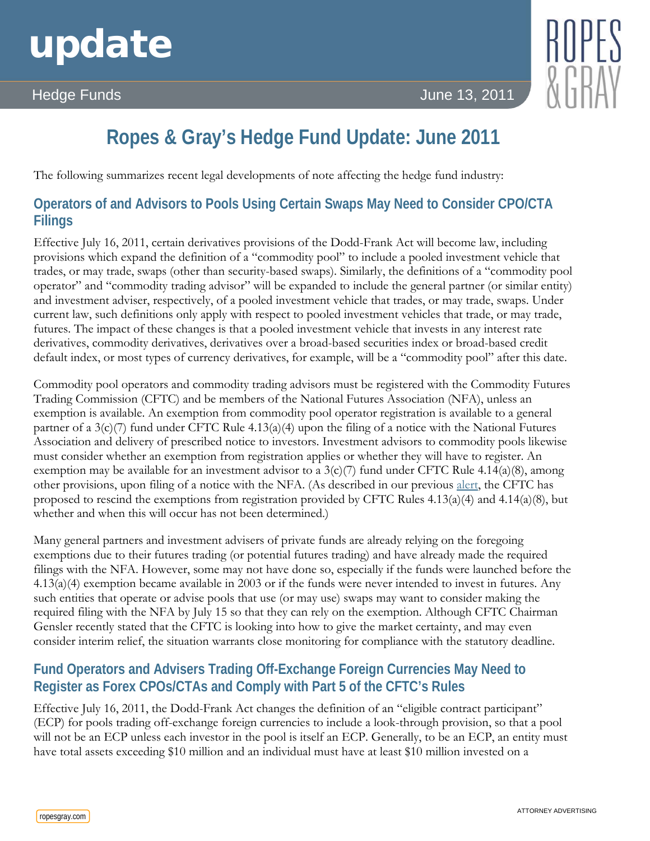# update

# Hedge Funds June 13, 2011



# **Ropes & Gray's Hedge Fund Update: June 2011**

The following summarizes recent legal developments of note affecting the hedge fund industry:

# **Operators of and Advisors to Pools Using Certain Swaps May Need to Consider CPO/CTA Filings**

Effective July 16, 2011, certain derivatives provisions of the Dodd-Frank Act will become law, including provisions which expand the definition of a "commodity pool" to include a pooled investment vehicle that trades, or may trade, swaps (other than security-based swaps). Similarly, the definitions of a "commodity pool operator" and "commodity trading advisor" will be expanded to include the general partner (or similar entity) and investment adviser, respectively, of a pooled investment vehicle that trades, or may trade, swaps. Under current law, such definitions only apply with respect to pooled investment vehicles that trade, or may trade, futures. The impact of these changes is that a pooled investment vehicle that invests in any interest rate derivatives, commodity derivatives, derivatives over a broad-based securities index or broad-based credit default index, or most types of currency derivatives, for example, will be a "commodity pool" after this date.

Commodity pool operators and commodity trading advisors must be registered with the Commodity Futures Trading Commission (CFTC) and be members of the National Futures Association (NFA), unless an exemption is available. An exemption from commodity pool operator registration is available to a general partner of a  $3(c)/7$  fund under CFTC Rule 4.13(a)(4) upon the filing of a notice with the National Futures Association and delivery of prescribed notice to investors. Investment advisors to commodity pools likewise must consider whether an exemption from registration applies or whether they will have to register. An exemption may be available for an investment advisor to a  $3(c)/7$  fund under CFTC Rule 4.14(a)(8), among other provisions, upon filing of a notice with the NFA. (As described in our previous [alert,](http://www.ropesgray.com/files/Publication/b1830258-37ca-49f5-9a9c-1860f5297ef0/Presentation/PublicationAttachment/84cf85f4-fb18-4fe1-b624-19f8362e89bc/20110128CFTC.pdf) the CFTC has proposed to rescind the exemptions from registration provided by CFTC Rules  $4.13(a)(4)$  and  $4.14(a)(8)$ , but whether and when this will occur has not been determined.)

Many general partners and investment advisers of private funds are already relying on the foregoing exemptions due to their futures trading (or potential futures trading) and have already made the required filings with the NFA. However, some may not have done so, especially if the funds were launched before the 4.13(a)(4) exemption became available in 2003 or if the funds were never intended to invest in futures. Any such entities that operate or advise pools that use (or may use) swaps may want to consider making the required filing with the NFA by July 15 so that they can rely on the exemption. Although CFTC Chairman Gensler recently stated that the CFTC is looking into how to give the market certainty, and may even consider interim relief, the situation warrants close monitoring for compliance with the statutory deadline.

## **Fund Operators and Advisers Trading Off-Exchange Foreign Currencies May Need to Register as Forex CPOs/CTAs and Comply with Part 5 of the CFTC's Rules**

Effective July 16, 2011, the Dodd-Frank Act changes the definition of an "eligible contract participant" (ECP) for pools trading off-exchange foreign currencies to include a look-through provision, so that a pool will not be an ECP unless each investor in the pool is itself an ECP. Generally, to be an ECP, an entity must have total assets exceeding \$10 million and an individual must have at least \$10 million invested on a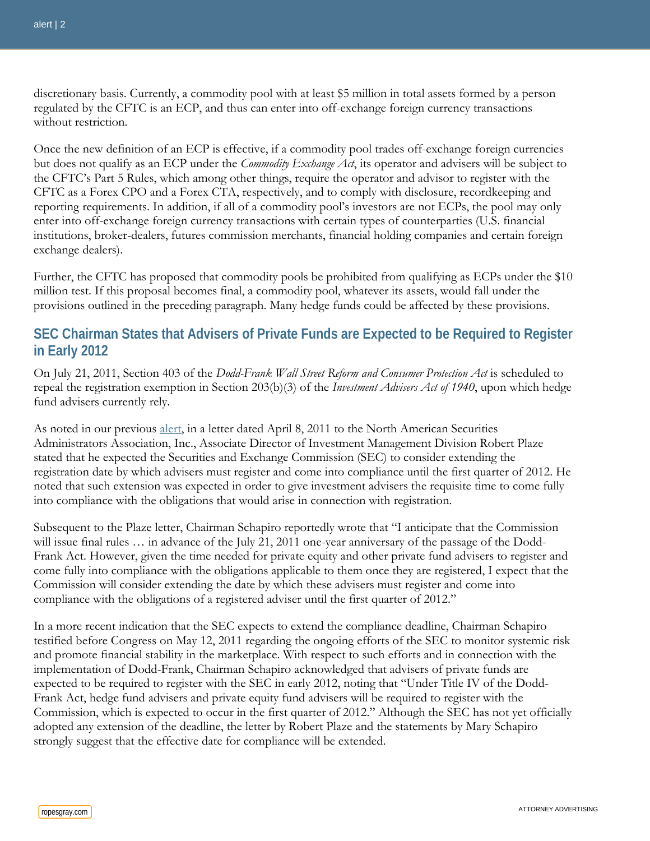discretionary basis. Currently, a commodity pool with at least \$5 million in total assets formed by a person regulated by the CFTC is an ECP, and thus can enter into off-exchange foreign currency transactions without restriction.

Once the new definition of an ECP is effective, if a commodity pool trades off-exchange foreign currencies but does not qualify as an ECP under the *Commodity Exchange Act*, its operator and advisers will be subject to the CFTC's Part 5 Rules, which among other things, require the operator and advisor to register with the CFTC as a Forex CPO and a Forex CTA, respectively, and to comply with disclosure, recordkeeping and reporting requirements. In addition, if all of a commodity pool's investors are not ECPs, the pool may only enter into off-exchange foreign currency transactions with certain types of counterparties (U.S. financial institutions, broker-dealers, futures commission merchants, financial holding companies and certain foreign exchange dealers).

Further, the CFTC has proposed that commodity pools be prohibited from qualifying as ECPs under the \$10 million test. If this proposal becomes final, a commodity pool, whatever its assets, would fall under the provisions outlined in the preceding paragraph. Many hedge funds could be affected by these provisions.

#### **SEC Chairman States that Advisers of Private Funds are Expected to be Required to Register in Early 2012**

On July 21, 2011, Section 403 of the *Dodd-Frank Wall Street Reform and Consumer Protection Act* is scheduled to repeal the registration exemption in Section 203(b)(3) of the *Investment Advisers Act of 1940*, upon which hedge fund advisers currently rely.

As noted in our previous [alert,](http://www.ropesgray.com/files/Publication/8e6887be-928f-4ef7-ae40-b39373d8367d/Presentation/PublicationAttachment/d475a2a2-13f6-436c-9318-b3af4c3000a0/20110408SECAlert.pdf) in a letter dated April 8, 2011 to the North American Securities Administrators Association, Inc., Associate Director of Investment Management Division Robert Plaze stated that he expected the Securities and Exchange Commission (SEC) to consider extending the registration date by which advisers must register and come into compliance until the first quarter of 2012. He noted that such extension was expected in order to give investment advisers the requisite time to come fully into compliance with the obligations that would arise in connection with registration.

Subsequent to the Plaze letter, Chairman Schapiro reportedly wrote that "I anticipate that the Commission will issue final rules ... in advance of the July 21, 2011 one-year anniversary of the passage of the Dodd-Frank Act. However, given the time needed for private equity and other private fund advisers to register and come fully into compliance with the obligations applicable to them once they are registered, I expect that the Commission will consider extending the date by which these advisers must register and come into compliance with the obligations of a registered adviser until the first quarter of 2012."

In a more recent indication that the SEC expects to extend the compliance deadline, Chairman Schapiro testified before Congress on May 12, 2011 regarding the ongoing efforts of the SEC to monitor systemic risk and promote financial stability in the marketplace. With respect to such efforts and in connection with the implementation of Dodd-Frank, Chairman Schapiro acknowledged that advisers of private funds are expected to be required to register with the SEC in early 2012, noting that "Under Title IV of the Dodd-Frank Act, hedge fund advisers and private equity fund advisers will be required to register with the Commission, which is expected to occur in the first quarter of 2012." Although the SEC has not yet officially adopted any extension of the deadline, the letter by Robert Plaze and the statements by Mary Schapiro strongly suggest that the effective date for compliance will be extended.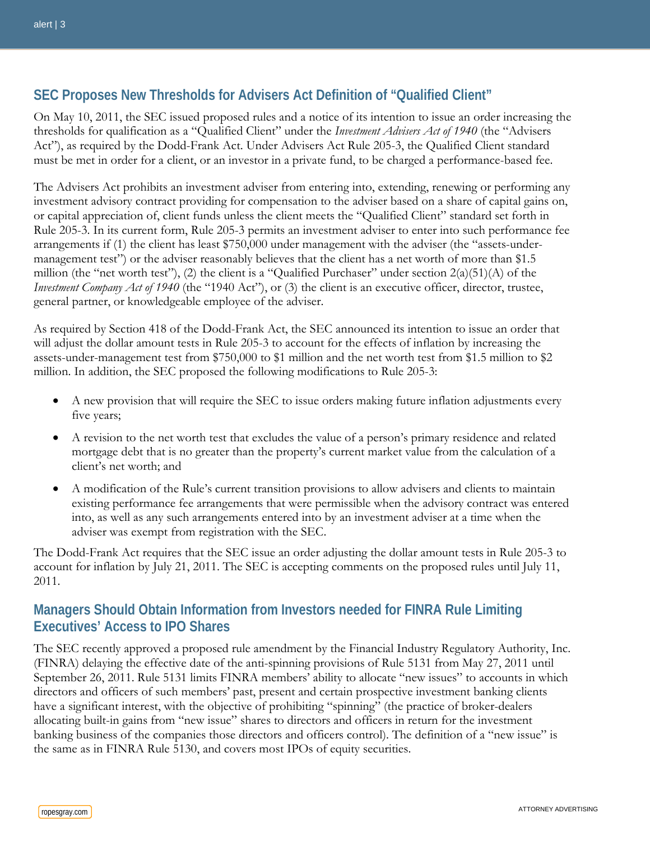#### **SEC Proposes New Thresholds for Advisers Act Definition of "Qualified Client"**

On May 10, 2011, the SEC issued proposed rules and a notice of its intention to issue an order increasing the thresholds for qualification as a "Qualified Client" under the *Investment Advisers Act of 1940* (the "Advisers Act"), as required by the Dodd-Frank Act. Under Advisers Act Rule 205-3, the Qualified Client standard must be met in order for a client, or an investor in a private fund, to be charged a performance-based fee.

The Advisers Act prohibits an investment adviser from entering into, extending, renewing or performing any investment advisory contract providing for compensation to the adviser based on a share of capital gains on, or capital appreciation of, client funds unless the client meets the "Qualified Client" standard set forth in Rule 205-3. In its current form, Rule 205-3 permits an investment adviser to enter into such performance fee arrangements if (1) the client has least \$750,000 under management with the adviser (the "assets-undermanagement test") or the adviser reasonably believes that the client has a net worth of more than \$1.5 million (the "net worth test"), (2) the client is a "Qualified Purchaser" under section 2(a)(51)(A) of the *Investment Company Act of 1940* (the "1940 Act"), or (3) the client is an executive officer, director, trustee, general partner, or knowledgeable employee of the adviser.

As required by Section 418 of the Dodd-Frank Act, the SEC announced its intention to issue an order that will adjust the dollar amount tests in Rule 205-3 to account for the effects of inflation by increasing the assets-under-management test from \$750,000 to \$1 million and the net worth test from \$1.5 million to \$2 million. In addition, the SEC proposed the following modifications to Rule 205-3:

- A new provision that will require the SEC to issue orders making future inflation adjustments every five years;
- A revision to the net worth test that excludes the value of a person's primary residence and related mortgage debt that is no greater than the property's current market value from the calculation of a client's net worth; and
- A modification of the Rule's current transition provisions to allow advisers and clients to maintain existing performance fee arrangements that were permissible when the advisory contract was entered into, as well as any such arrangements entered into by an investment adviser at a time when the adviser was exempt from registration with the SEC.

The Dodd-Frank Act requires that the SEC issue an order adjusting the dollar amount tests in Rule 205-3 to account for inflation by July 21, 2011. The SEC is accepting comments on the proposed rules until July 11, 2011.

#### **Managers Should Obtain Information from Investors needed for FINRA Rule Limiting Executives' Access to IPO Shares**

The SEC recently approved a proposed rule amendment by the Financial Industry Regulatory Authority, Inc. (FINRA) delaying the effective date of the anti-spinning provisions of Rule 5131 from May 27, 2011 until September 26, 2011. Rule 5131 limits FINRA members' ability to allocate "new issues" to accounts in which directors and officers of such members' past, present and certain prospective investment banking clients have a significant interest, with the objective of prohibiting "spinning" (the practice of broker-dealers allocating built-in gains from "new issue" shares to directors and officers in return for the investment banking business of the companies those directors and officers control). The definition of a "new issue" is the same as in FINRA Rule 5130, and covers most IPOs of equity securities.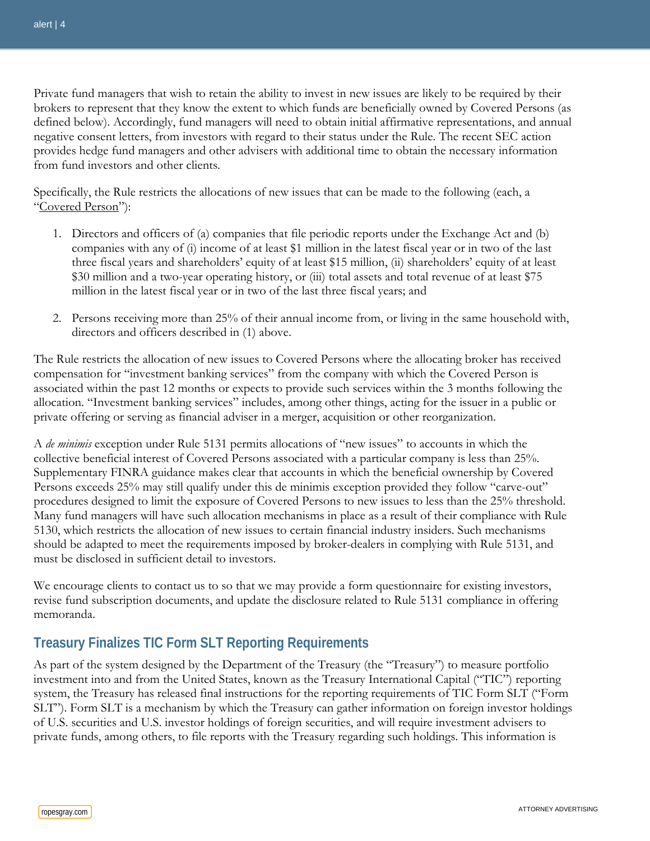Private fund managers that wish to retain the ability to invest in new issues are likely to be required by their brokers to represent that they know the extent to which funds are beneficially owned by Covered Persons (as defined below). Accordingly, fund managers will need to obtain initial affirmative representations, and annual negative consent letters, from investors with regard to their status under the Rule. The recent SEC action provides hedge fund managers and other advisers with additional time to obtain the necessary information from fund investors and other clients.

Specifically, the Rule restricts the allocations of new issues that can be made to the following (each, a "Covered Person"):

- 1. Directors and officers of (a) companies that file periodic reports under the Exchange Act and (b) companies with any of (i) income of at least \$1 million in the latest fiscal year or in two of the last three fiscal years and shareholders' equity of at least \$15 million, (ii) shareholders' equity of at least \$30 million and a two-year operating history, or (iii) total assets and total revenue of at least \$75 million in the latest fiscal year or in two of the last three fiscal years; and
- 2. Persons receiving more than 25% of their annual income from, or living in the same household with, directors and officers described in (1) above.

The Rule restricts the allocation of new issues to Covered Persons where the allocating broker has received compensation for "investment banking services" from the company with which the Covered Person is associated within the past 12 months or expects to provide such services within the 3 months following the allocation. "Investment banking services" includes, among other things, acting for the issuer in a public or private offering or serving as financial adviser in a merger, acquisition or other reorganization.

A *de minimis* exception under Rule 5131 permits allocations of "new issues" to accounts in which the collective beneficial interest of Covered Persons associated with a particular company is less than 25%. Supplementary FINRA guidance makes clear that accounts in which the beneficial ownership by Covered Persons exceeds 25% may still qualify under this de minimis exception provided they follow "carve-out" procedures designed to limit the exposure of Covered Persons to new issues to less than the 25% threshold. Many fund managers will have such allocation mechanisms in place as a result of their compliance with Rule 5130, which restricts the allocation of new issues to certain financial industry insiders. Such mechanisms should be adapted to meet the requirements imposed by broker-dealers in complying with Rule 5131, and must be disclosed in sufficient detail to investors.

We encourage clients to contact us to so that we may provide a form questionnaire for existing investors, revise fund subscription documents, and update the disclosure related to Rule 5131 compliance in offering memoranda.

## **Treasury Finalizes TIC Form SLT Reporting Requirements**

As part of the system designed by the Department of the Treasury (the "Treasury") to measure portfolio investment into and from the United States, known as the Treasury International Capital ("TIC") reporting system, the Treasury has released final instructions for the reporting requirements of TIC Form SLT ("Form SLT"). Form SLT is a mechanism by which the Treasury can gather information on foreign investor holdings of U.S. securities and U.S. investor holdings of foreign securities, and will require investment advisers to private funds, among others, to file reports with the Treasury regarding such holdings. This information is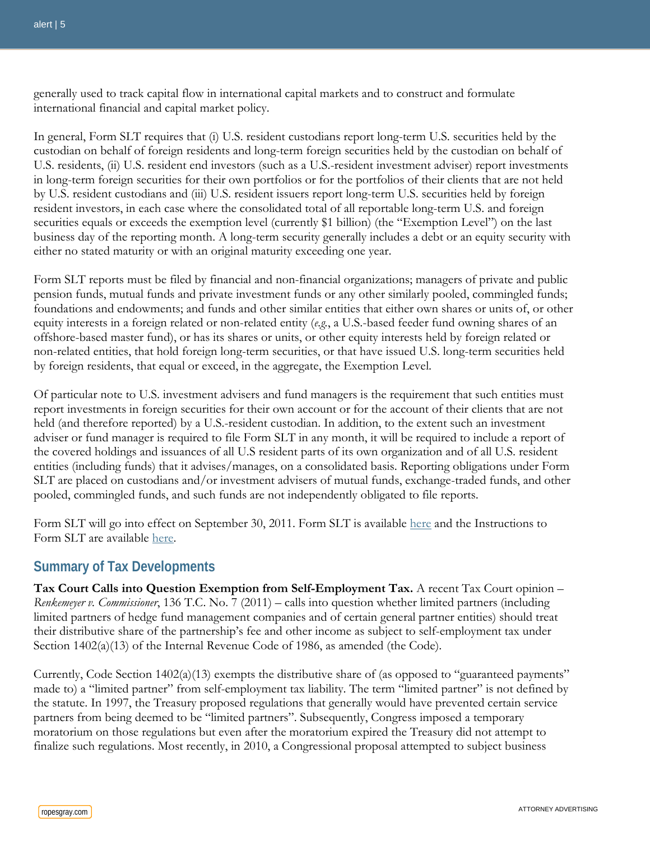generally used to track capital flow in international capital markets and to construct and formulate international financial and capital market policy.

In general, Form SLT requires that (i) U.S. resident custodians report long-term U.S. securities held by the custodian on behalf of foreign residents and long-term foreign securities held by the custodian on behalf of U.S. residents, (ii) U.S. resident end investors (such as a U.S.-resident investment adviser) report investments in long-term foreign securities for their own portfolios or for the portfolios of their clients that are not held by U.S. resident custodians and (iii) U.S. resident issuers report long-term U.S. securities held by foreign resident investors, in each case where the consolidated total of all reportable long-term U.S. and foreign securities equals or exceeds the exemption level (currently \$1 billion) (the "Exemption Level") on the last business day of the reporting month. A long-term security generally includes a debt or an equity security with either no stated maturity or with an original maturity exceeding one year.

Form SLT reports must be filed by financial and non-financial organizations; managers of private and public pension funds, mutual funds and private investment funds or any other similarly pooled, commingled funds; foundations and endowments; and funds and other similar entities that either own shares or units of, or other equity interests in a foreign related or non-related entity (*e.g.*, a U.S.-based feeder fund owning shares of an offshore-based master fund), or has its shares or units, or other equity interests held by foreign related or non-related entities, that hold foreign long-term securities, or that have issued U.S. long-term securities held by foreign residents, that equal or exceed, in the aggregate, the Exemption Level.

Of particular note to U.S. investment advisers and fund managers is the requirement that such entities must report investments in foreign securities for their own account or for the account of their clients that are not held (and therefore reported) by a U.S.-resident custodian. In addition, to the extent such an investment adviser or fund manager is required to file Form SLT in any month, it will be required to include a report of the covered holdings and issuances of all U.S resident parts of its own organization and of all U.S. resident entities (including funds) that it advises/manages, on a consolidated basis. Reporting obligations under Form SLT are placed on custodians and/or investment advisers of mutual funds, exchange-traded funds, and other pooled, commingled funds, and such funds are not independently obligated to file reports.

Form SLT will go into effect on September 30, 2011. Form SLT is available [here](http://www.treasury.gov/resource-center/data-chart-center/tic/Documents/fslt-draft.pdf) and the Instructions to Form SLT are available [here.](http://www.treasury.gov/resource-center/data-chart-center/tic/Documents/sltinstr-draft.pdf)

#### **Summary of Tax Developments**

**Tax Court Calls into Question Exemption from Self-Employment Tax.** A recent Tax Court opinion – *Renkemeyer v. Commissioner*, 136 T.C. No. 7 (2011) – calls into question whether limited partners (including limited partners of hedge fund management companies and of certain general partner entities) should treat their distributive share of the partnership's fee and other income as subject to self-employment tax under Section 1402(a)(13) of the Internal Revenue Code of 1986, as amended (the Code).

Currently, Code Section 1402(a)(13) exempts the distributive share of (as opposed to "guaranteed payments" made to) a "limited partner" from self-employment tax liability. The term "limited partner" is not defined by the statute. In 1997, the Treasury proposed regulations that generally would have prevented certain service partners from being deemed to be "limited partners". Subsequently, Congress imposed a temporary moratorium on those regulations but even after the moratorium expired the Treasury did not attempt to finalize such regulations. Most recently, in 2010, a Congressional proposal attempted to subject business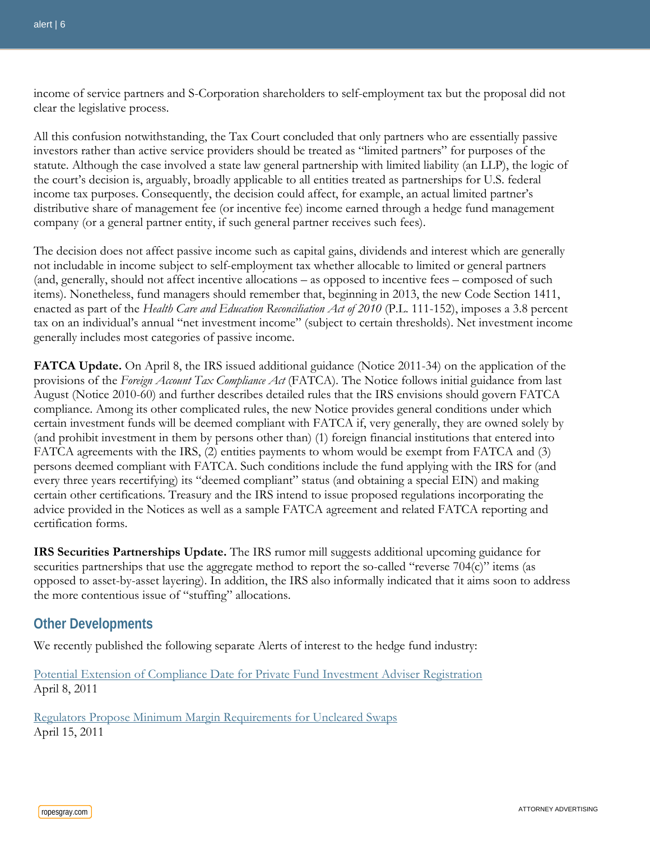income of service partners and S-Corporation shareholders to self-employment tax but the proposal did not clear the legislative process.

All this confusion notwithstanding, the Tax Court concluded that only partners who are essentially passive investors rather than active service providers should be treated as "limited partners" for purposes of the statute. Although the case involved a state law general partnership with limited liability (an LLP), the logic of the court's decision is, arguably, broadly applicable to all entities treated as partnerships for U.S. federal income tax purposes. Consequently, the decision could affect, for example, an actual limited partner's distributive share of management fee (or incentive fee) income earned through a hedge fund management company (or a general partner entity, if such general partner receives such fees).

The decision does not affect passive income such as capital gains, dividends and interest which are generally not includable in income subject to self-employment tax whether allocable to limited or general partners (and, generally, should not affect incentive allocations – as opposed to incentive fees – composed of such items). Nonetheless, fund managers should remember that, beginning in 2013, the new Code Section 1411, enacted as part of the *Health Care and Education Reconciliation Act of 2010* (P.L. 111-152), imposes a 3.8 percent tax on an individual's annual "net investment income" (subject to certain thresholds). Net investment income generally includes most categories of passive income.

**FATCA Update.** On April 8, the IRS issued additional guidance (Notice 2011-34) on the application of the provisions of the *Foreign Account Tax Compliance Act* (FATCA). The Notice follows initial guidance from last August (Notice 2010-60) and further describes detailed rules that the IRS envisions should govern FATCA compliance. Among its other complicated rules, the new Notice provides general conditions under which certain investment funds will be deemed compliant with FATCA if, very generally, they are owned solely by (and prohibit investment in them by persons other than) (1) foreign financial institutions that entered into FATCA agreements with the IRS, (2) entities payments to whom would be exempt from FATCA and (3) persons deemed compliant with FATCA. Such conditions include the fund applying with the IRS for (and every three years recertifying) its "deemed compliant" status (and obtaining a special EIN) and making certain other certifications. Treasury and the IRS intend to issue proposed regulations incorporating the advice provided in the Notices as well as a sample FATCA agreement and related FATCA reporting and certification forms.

**IRS Securities Partnerships Update.** The IRS rumor mill suggests additional upcoming guidance for securities partnerships that use the aggregate method to report the so-called "reverse 704(c)" items (as opposed to asset-by-asset layering). In addition, the IRS also informally indicated that it aims soon to address the more contentious issue of "stuffing" allocations.

#### **Other Developments**

We recently published the following separate Alerts of interest to the hedge fund industry:

[Potential Extension of Compliance Date for Private Fund Investment Adviser Registration](http://www.ropesgray.com/files/Publication/8e6887be-928f-4ef7-ae40-b39373d8367d/Presentation/PublicationAttachment/d475a2a2-13f6-436c-9318-b3af4c3000a0/20110408SECAlert.pdf) April 8, 2011

[Regulators Propose Minimum Margin Requirements for Uncleared Swaps](http://www.ropesgray.com/files/Publication/e6a43441-f164-4a50-b05b-93bec58b4fe4/Presentation/PublicationAttachment/3b109a2f-244c-4d9f-b10a-960aa301d3f8/20110415FDIC.pdf) April 15, 2011